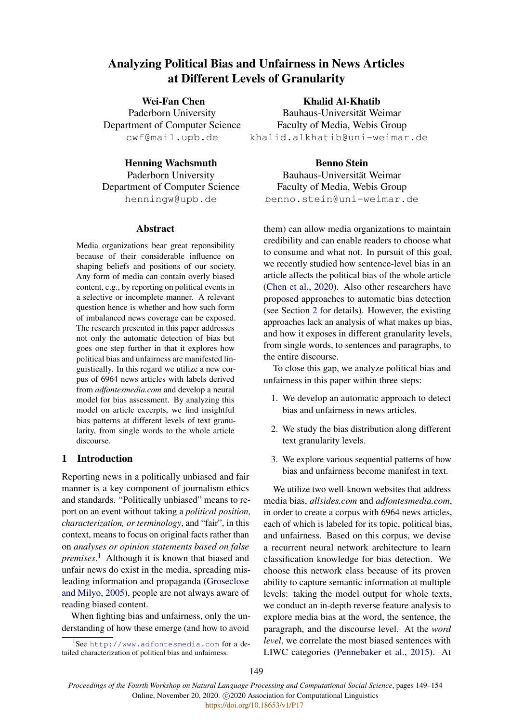# Analyzing Political Bias and Unfairness in News Articles at Different Levels of Granularity

Wei-Fan Chen Paderborn University Department of Computer Science cwf@mail.upb.de

#### Henning Wachsmuth

Paderborn University Department of Computer Science henningw@upb.de

#### Abstract

Media organizations bear great reponsibility because of their considerable influence on shaping beliefs and positions of our society. Any form of media can contain overly biased content, e.g., by reporting on political events in a selective or incomplete manner. A relevant question hence is whether and how such form of imbalanced news coverage can be exposed. The research presented in this paper addresses not only the automatic detection of bias but goes one step further in that it explores how political bias and unfairness are manifested linguistically. In this regard we utilize a new corpus of 6964 news articles with labels derived from *adfontesmedia.com* and develop a neural model for bias assessment. By analyzing this model on article excerpts, we find insightful bias patterns at different levels of text granularity, from single words to the whole article discourse.

# 1 Introduction

Reporting news in a politically unbiased and fair manner is a key component of journalism ethics and standards. "Politically unbiased" means to report on an event without taking a *political position, characterization, or terminology*, and "fair", in this context, means to focus on original facts rather than on *analyses or opinion statements based on false premises*. [1](#page-0-0) Although it is known that biased and unfair news do exist in the media, spreading misleading information and propaganda [\(Groseclose](#page-5-0) [and Milyo,](#page-5-0) [2005\)](#page-5-0), people are not always aware of reading biased content.

When fighting bias and unfairness, only the understanding of how these emerge (and how to avoid

### Khalid Al-Khatib

Bauhaus-Universität Weimar Faculty of Media, Webis Group khalid.alkhatib@uni-weimar.de

#### Benno Stein

Bauhaus-Universität Weimar Faculty of Media, Webis Group benno.stein@uni-weimar.de

them) can allow media organizations to maintain credibility and can enable readers to choose what to consume and what not. In pursuit of this goal, we recently studied how sentence-level bias in an article affects the political bias of the whole article [\(Chen et al.,](#page-5-1) [2020\)](#page-5-1). Also other researchers have proposed approaches to automatic bias detection (see Section [2](#page-1-0) for details). However, the existing approaches lack an analysis of what makes up bias, and how it exposes in different granularity levels, from single words, to sentences and paragraphs, to the entire discourse.

To close this gap, we analyze political bias and unfairness in this paper within three steps:

- 1. We develop an automatic approach to detect bias and unfairness in news articles.
- 2. We study the bias distribution along different text granularity levels.
- 3. We explore various sequential patterns of how bias and unfairness become manifest in text.

We utilize two well-known websites that address media bias, *allsides.com* and *adfontesmedia.com*, in order to create a corpus with 6964 news articles, each of which is labeled for its topic, political bias, and unfairness. Based on this corpus, we devise a recurrent neural network architecture to learn classification knowledge for bias detection. We choose this network class because of its proven ability to capture semantic information at multiple levels: taking the model output for whole texts, we conduct an in-depth reverse feature analysis to explore media bias at the word, the sentence, the paragraph, and the discourse level. At the *word level*, we correlate the most biased sentences with LIWC categories [\(Pennebaker et al.,](#page-5-2) [2015\)](#page-5-2). At

<span id="page-0-0"></span><sup>1</sup> See <http://www.adfontesmedia.com> for a detailed characterization of political bias and unfairness.

*Proceedings of the Fourth Workshop on Natural Language Processing and Computational Social Science*, pages 149–154 Online, November 20, 2020. C 2020 Association for Computational Linguistics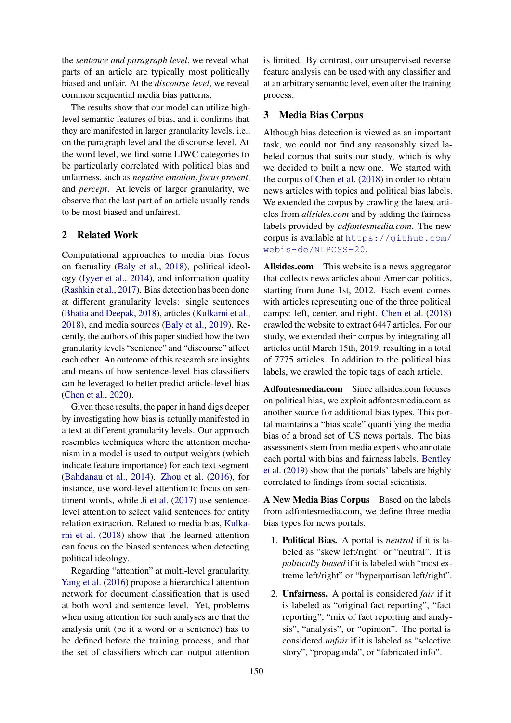the *sentence and paragraph level*, we reveal what parts of an article are typically most politically biased and unfair. At the *discourse level*, we reveal common sequential media bias patterns.

The results show that our model can utilize highlevel semantic features of bias, and it confirms that they are manifested in larger granularity levels, i.e., on the paragraph level and the discourse level. At the word level, we find some LIWC categories to be particularly correlated with political bias and unfairness, such as *negative emotion*, *focus present*, and *percept*. At levels of larger granularity, we observe that the last part of an article usually tends to be most biased and unfairest.

## <span id="page-1-0"></span>2 Related Work

Computational approaches to media bias focus on factuality [\(Baly et al.,](#page-5-3) [2018\)](#page-5-3), political ideology [\(Iyyer et al.,](#page-5-4) [2014\)](#page-5-4), and information quality [\(Rashkin et al.,](#page-5-5) [2017\)](#page-5-5). Bias detection has been done at different granularity levels: single sentences [\(Bhatia and Deepak,](#page-5-6) [2018\)](#page-5-6), articles [\(Kulkarni et al.,](#page-5-7) [2018\)](#page-5-7), and media sources [\(Baly et al.,](#page-5-8) [2019\)](#page-5-8). Recently, the authors of this paper studied how the two granularity levels "sentence" and "discourse" affect each other. An outcome of this research are insights and means of how sentence-level bias classifiers can be leveraged to better predict article-level bias [\(Chen et al.,](#page-5-1) [2020\)](#page-5-1).

Given these results, the paper in hand digs deeper by investigating how bias is actually manifested in a text at different granularity levels. Our approach resembles techniques where the attention mechanism in a model is used to output weights (which indicate feature importance) for each text segment [\(Bahdanau et al.,](#page-5-9) [2014\)](#page-5-9). [Zhou et al.](#page-5-10) [\(2016\)](#page-5-10), for instance, use word-level attention to focus on sentiment words, while [Ji et al.](#page-5-11) [\(2017\)](#page-5-11) use sentencelevel attention to select valid sentences for entity relation extraction. Related to media bias, [Kulka](#page-5-7)[rni et al.](#page-5-7) [\(2018\)](#page-5-7) show that the learned attention can focus on the biased sentences when detecting political ideology.

Regarding "attention" at multi-level granularity, [Yang et al.](#page-5-12) [\(2016\)](#page-5-12) propose a hierarchical attention network for document classification that is used at both word and sentence level. Yet, problems when using attention for such analyses are that the analysis unit (be it a word or a sentence) has to be defined before the training process, and that the set of classifiers which can output attention

is limited. By contrast, our unsupervised reverse feature analysis can be used with any classifier and at an arbitrary semantic level, even after the training process.

### 3 Media Bias Corpus

Although bias detection is viewed as an important task, we could not find any reasonably sized labeled corpus that suits our study, which is why we decided to built a new one. We started with the corpus of [Chen et al.](#page-5-13) [\(2018\)](#page-5-13) in order to obtain news articles with topics and political bias labels. We extended the corpus by crawling the latest articles from *allsides.com* and by adding the fairness labels provided by *adfontesmedia.com*. The new corpus is available at [https://github.com/](https://github.com/webis-de/NLPCSS-20) [webis-de/NLPCSS-20](https://github.com/webis-de/NLPCSS-20).

Allsides.com This website is a news aggregator that collects news articles about American politics, starting from June 1st, 2012. Each event comes with articles representing one of the three political camps: left, center, and right. [Chen et al.](#page-5-13) [\(2018\)](#page-5-13) crawled the website to extract 6447 articles. For our study, we extended their corpus by integrating all articles until March 15th, 2019, resulting in a total of 7775 articles. In addition to the political bias labels, we crawled the topic tags of each article.

Adfontesmedia.com Since allsides.com focuses on political bias, we exploit adfontesmedia.com as another source for additional bias types. This portal maintains a "bias scale" quantifying the media bias of a broad set of US news portals. The bias assessments stem from media experts who annotate each portal with bias and fairness labels. [Bentley](#page-5-14) [et al.](#page-5-14) [\(2019\)](#page-5-14) show that the portals' labels are highly correlated to findings from social scientists.

A New Media Bias Corpus Based on the labels from adfontesmedia.com, we define three media bias types for news portals:

- 1. Political Bias. A portal is *neutral* if it is labeled as "skew left/right" or "neutral". It is *politically biased* if it is labeled with "most extreme left/right" or "hyperpartisan left/right".
- 2. Unfairness. A portal is considered *fair* if it is labeled as "original fact reporting", "fact reporting", "mix of fact reporting and analysis", "analysis", or "opinion". The portal is considered *unfair* if it is labeled as "selective story", "propaganda", or "fabricated info".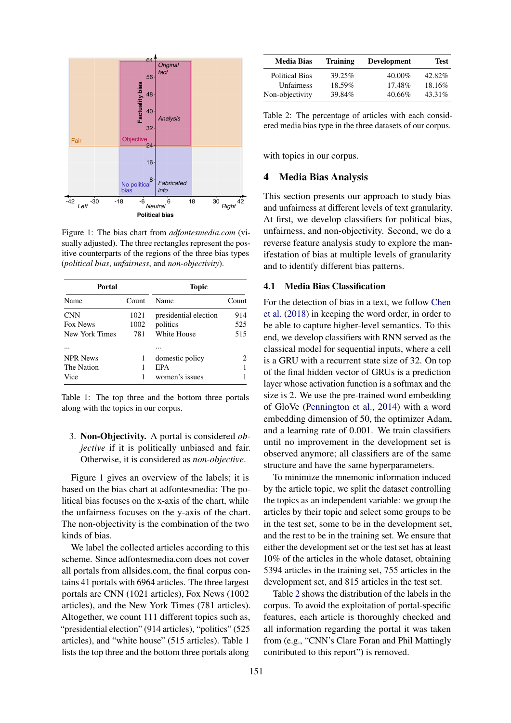<span id="page-2-0"></span>

Figure 1: The bias chart from *adfontesmedia.com* (visually adjusted). The three rectangles represent the positive counterparts of the regions of the three bias types (*political bias*, *unfairness*, and *non-objectivity*).

<span id="page-2-1"></span>

| Portal          |       | <b>Topic</b>          |       |
|-----------------|-------|-----------------------|-------|
| Name            | Count | Name                  | Count |
| <b>CNN</b>      | 1021  | presidential election | 914   |
| <b>Fox News</b> | 1002  | politics              | 525   |
| New York Times  | 781   | White House           | 515   |
|                 |       |                       |       |
| <b>NPR News</b> | 1     | domestic policy       |       |
| The Nation      | 1     | EPA                   |       |
| Vice            | 1     | women's issues        |       |

Table 1: The top three and the bottom three portals along with the topics in our corpus.

3. Non-Objectivity. A portal is considered *objective* if it is politically unbiased and fair. Otherwise, it is considered as *non-objective*.

Figure [1](#page-2-0) gives an overview of the labels; it is based on the bias chart at adfontesmedia: The political bias focuses on the x-axis of the chart, while the unfairness focuses on the y-axis of the chart. The non-objectivity is the combination of the two kinds of bias.

We label the collected articles according to this scheme. Since adfontesmedia.com does not cover all portals from allsides.com, the final corpus contains 41 portals with 6964 articles. The three largest portals are CNN (1021 articles), Fox News (1002 articles), and the New York Times (781 articles). Altogether, we count 111 different topics such as, "presidential election" (914 articles), "politics" (525 articles), and "white house" (515 articles). Table [1](#page-2-1) lists the top three and the bottom three portals along

<span id="page-2-2"></span>

| <b>Media Bias</b>     | <b>Training</b> | <b>Development</b> | Test    |
|-----------------------|-----------------|--------------------|---------|
| <b>Political Bias</b> | 39.25%          | $40.00\%$          | 42.82%  |
| Unfairness            | 18.59%          | 17.48%             | 18.16\% |
| Non-objectivity       | 39.84%          | $40.66\%$          | 43.31\% |

Table 2: The percentage of articles with each considered media bias type in the three datasets of our corpus.

with topics in our corpus.

#### <span id="page-2-3"></span>4 Media Bias Analysis

This section presents our approach to study bias and unfairness at different levels of text granularity. At first, we develop classifiers for political bias, unfairness, and non-objectivity. Second, we do a reverse feature analysis study to explore the manifestation of bias at multiple levels of granularity and to identify different bias patterns.

#### 4.1 Media Bias Classification

For the detection of bias in a text, we follow [Chen](#page-5-13) [et al.](#page-5-13) [\(2018\)](#page-5-13) in keeping the word order, in order to be able to capture higher-level semantics. To this end, we develop classifiers with RNN served as the classical model for sequential inputs, where a cell is a GRU with a recurrent state size of 32. On top of the final hidden vector of GRUs is a prediction layer whose activation function is a softmax and the size is 2. We use the pre-trained word embedding of GloVe [\(Pennington et al.,](#page-5-15) [2014\)](#page-5-15) with a word embedding dimension of 50, the optimizer Adam, and a learning rate of 0.001. We train classifiers until no improvement in the development set is observed anymore; all classifiers are of the same structure and have the same hyperparameters.

To minimize the mnemonic information induced by the article topic, we split the dataset controlling the topics as an independent variable: we group the articles by their topic and select some groups to be in the test set, some to be in the development set, and the rest to be in the training set. We ensure that either the development set or the test set has at least 10% of the articles in the whole dataset, obtaining 5394 articles in the training set, 755 articles in the development set, and 815 articles in the test set.

Table [2](#page-2-2) shows the distribution of the labels in the corpus. To avoid the exploitation of portal-specific features, each article is thoroughly checked and all information regarding the portal it was taken from (e.g., "CNN's Clare Foran and Phil Mattingly contributed to this report") is removed.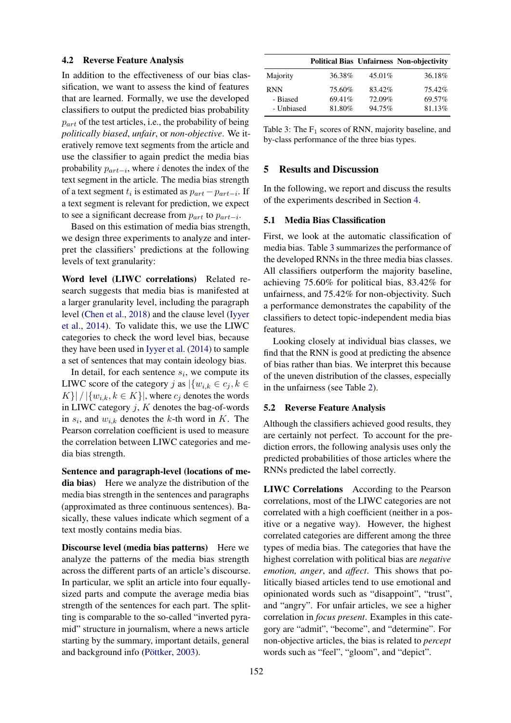#### 4.2 Reverse Feature Analysis

In addition to the effectiveness of our bias classification, we want to assess the kind of features that are learned. Formally, we use the developed classifiers to output the predicted bias probability  $p_{art}$  of the test articles, i.e., the probability of being *politically biased*, *unfair*, or *non-objective*. We iteratively remove text segments from the article and use the classifier to again predict the media bias probability  $p_{art-i}$ , where *i* denotes the index of the text segment in the article. The media bias strength of a text segment  $t_i$  is estimated as  $p_{art} - p_{art-i}$ . If a text segment is relevant for prediction, we expect to see a significant decrease from  $p_{art}$  to  $p_{art-i}$ .

Based on this estimation of media bias strength, we design three experiments to analyze and interpret the classifiers' predictions at the following levels of text granularity:

Word level (LIWC correlations) Related research suggests that media bias is manifested at a larger granularity level, including the paragraph level [\(Chen et al.,](#page-5-13) [2018\)](#page-5-13) and the clause level [\(Iyyer](#page-5-4) [et al.,](#page-5-4) [2014\)](#page-5-4). To validate this, we use the LIWC categories to check the word level bias, because they have been used in [Iyyer et al.](#page-5-4) [\(2014\)](#page-5-4) to sample a set of sentences that may contain ideology bias.

In detail, for each sentence  $s_i$ , we compute its LIWC score of the category j as  $\{w_{i,k} \in c_i, k \in \mathbb{R}\}$  $K\}\big|\big/\big|\{w_{i,k}, k\in K\}\big|$ , where  $c_i$  denotes the words in LIWC category  $j$ ,  $K$  denotes the bag-of-words in  $s_i$ , and  $w_{i,k}$  denotes the k-th word in K. The Pearson correlation coefficient is used to measure the correlation between LIWC categories and media bias strength.

Sentence and paragraph-level (locations of media bias) Here we analyze the distribution of the media bias strength in the sentences and paragraphs (approximated as three continuous sentences). Basically, these values indicate which segment of a text mostly contains media bias.

Discourse level (media bias patterns) Here we analyze the patterns of the media bias strength across the different parts of an article's discourse. In particular, we split an article into four equallysized parts and compute the average media bias strength of the sentences for each part. The splitting is comparable to the so-called "inverted pyramid" structure in journalism, where a news article starting by the summary, important details, general and background info [\(Pöttker,](#page-5-16) [2003\)](#page-5-16).

<span id="page-3-0"></span>

|            |        |        | <b>Political Bias Unfairness Non-objectivity</b> |
|------------|--------|--------|--------------------------------------------------|
| Majority   | 36.38% | 45.01% | 36.18%                                           |
| <b>RNN</b> | 75.60% | 83.42% | 75.42%                                           |
| - Biased   | 69.41% | 72.09% | 69.57%                                           |
| - Unbiased | 81.80% | 94.75% | 81.13%                                           |

Table 3: The  $F_1$  scores of RNN, majority baseline, and by-class performance of the three bias types.

### 5 Results and Discussion

In the following, we report and discuss the results of the experiments described in Section [4.](#page-2-3)

#### 5.1 Media Bias Classification

First, we look at the automatic classification of media bias. Table [3](#page-3-0) summarizes the performance of the developed RNNs in the three media bias classes. All classifiers outperform the majority baseline, achieving 75.60% for political bias, 83.42% for unfairness, and 75.42% for non-objectivity. Such a performance demonstrates the capability of the classifiers to detect topic-independent media bias features.

Looking closely at individual bias classes, we find that the RNN is good at predicting the absence of bias rather than bias. We interpret this because of the uneven distribution of the classes, especially in the unfairness (see Table [2\)](#page-2-2).

#### 5.2 Reverse Feature Analysis

Although the classifiers achieved good results, they are certainly not perfect. To account for the prediction errors, the following analysis uses only the predicted probabilities of those articles where the RNNs predicted the label correctly.

LIWC Correlations According to the Pearson correlations, most of the LIWC categories are not correlated with a high coefficient (neither in a positive or a negative way). However, the highest correlated categories are different among the three types of media bias. The categories that have the highest correlation with political bias are *negative emotion, anger*, and *affect*. This shows that politically biased articles tend to use emotional and opinionated words such as "disappoint", "trust", and "angry". For unfair articles, we see a higher correlation in *focus present*. Examples in this category are "admit", "become", and "determine". For non-objective articles, the bias is related to *percept* words such as "feel", "gloom", and "depict".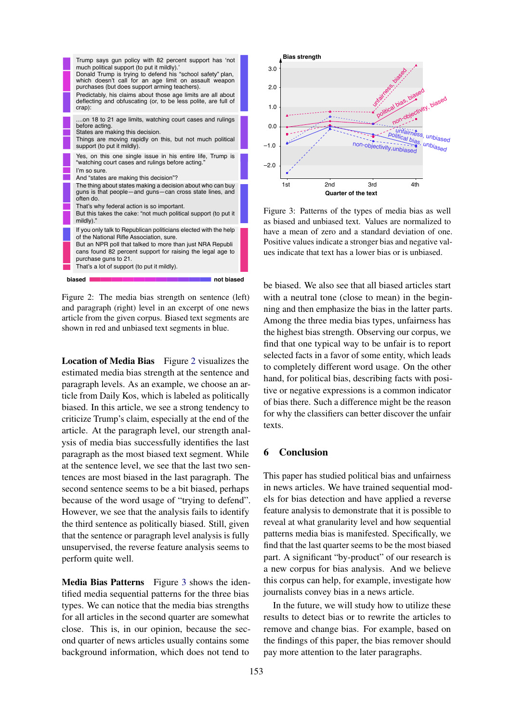<span id="page-4-0"></span>

Figure 2: The media bias strength on sentence (left) and paragraph (right) level in an excerpt of one news article from the given corpus. Biased text segments are shown in red and unbiased text segments in blue.

Location of Media Bias Figure [2](#page-4-0) visualizes the estimated media bias strength at the sentence and paragraph levels. As an example, we choose an article from Daily Kos, which is labeled as politically biased. In this article, we see a strong tendency to criticize Trump's claim, especially at the end of the article. At the paragraph level, our strength analysis of media bias successfully identifies the last paragraph as the most biased text segment. While at the sentence level, we see that the last two sentences are most biased in the last paragraph. The second sentence seems to be a bit biased, perhaps because of the word usage of "trying to defend". However, we see that the analysis fails to identify the third sentence as politically biased. Still, given that the sentence or paragraph level analysis is fully unsupervised, the reverse feature analysis seems to perform quite well.

Media Bias Patterns Figure [3](#page-4-1) shows the identified media sequential patterns for the three bias types. We can notice that the media bias strengths for all articles in the second quarter are somewhat close. This is, in our opinion, because the second quarter of news articles usually contains some background information, which does not tend to

<span id="page-4-1"></span>

Figure 3: Patterns of the types of media bias as well as biased and unbiased text. Values are normalized to have a mean of zero and a standard deviation of one. Positive values indicate a stronger bias and negative values indicate that text has a lower bias or is unbiased.

be biased. We also see that all biased articles start with a neutral tone (close to mean) in the beginning and then emphasize the bias in the latter parts. Among the three media bias types, unfairness has the highest bias strength. Observing our corpus, we find that one typical way to be unfair is to report selected facts in a favor of some entity, which leads to completely different word usage. On the other hand, for political bias, describing facts with positive or negative expressions is a common indicator of bias there. Such a difference might be the reason for why the classifiers can better discover the unfair texts.

### 6 Conclusion

This paper has studied political bias and unfairness in news articles. We have trained sequential models for bias detection and have applied a reverse feature analysis to demonstrate that it is possible to reveal at what granularity level and how sequential patterns media bias is manifested. Specifically, we find that the last quarter seems to be the most biased part. A significant "by-product" of our research is a new corpus for bias analysis. And we believe this corpus can help, for example, investigate how journalists convey bias in a news article.

In the future, we will study how to utilize these results to detect bias or to rewrite the articles to remove and change bias. For example, based on the findings of this paper, the bias remover should pay more attention to the later paragraphs.